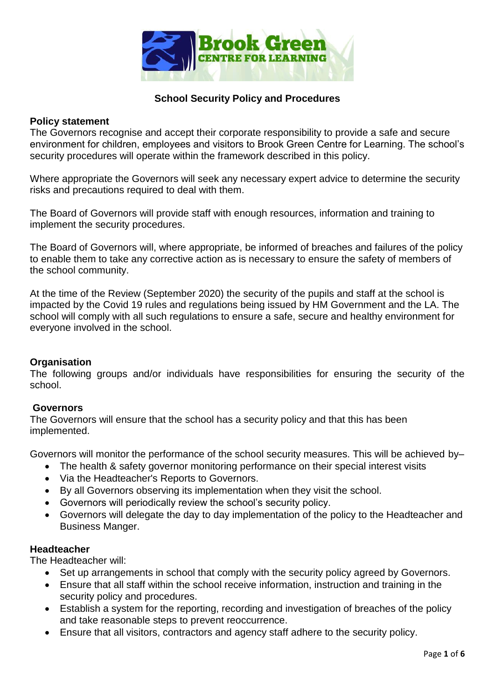

# **School Security Policy and Procedures**

### **Policy statement**

The Governors recognise and accept their corporate responsibility to provide a safe and secure environment for children, employees and visitors to Brook Green Centre for Learning. The school's security procedures will operate within the framework described in this policy.

Where appropriate the Governors will seek any necessary expert advice to determine the security risks and precautions required to deal with them.

The Board of Governors will provide staff with enough resources, information and training to implement the security procedures.

The Board of Governors will, where appropriate, be informed of breaches and failures of the policy to enable them to take any corrective action as is necessary to ensure the safety of members of the school community.

At the time of the Review (September 2020) the security of the pupils and staff at the school is impacted by the Covid 19 rules and regulations being issued by HM Government and the LA. The school will comply with all such regulations to ensure a safe, secure and healthy environment for everyone involved in the school.

## **Organisation**

The following groups and/or individuals have responsibilities for ensuring the security of the school.

## **Governors**

The Governors will ensure that the school has a security policy and that this has been implemented.

Governors will monitor the performance of the school security measures. This will be achieved by–

- The health & safety governor monitoring performance on their special interest visits
- Via the Headteacher's Reports to Governors.
- By all Governors observing its implementation when they visit the school.
- Governors will periodically review the school's security policy.
- Governors will delegate the day to day implementation of the policy to the Headteacher and Business Manger.

### **Headteacher**

The Headteacher will:

- Set up arrangements in school that comply with the security policy agreed by Governors.
- Ensure that all staff within the school receive information, instruction and training in the security policy and procedures.
- Establish a system for the reporting, recording and investigation of breaches of the policy and take reasonable steps to prevent reoccurrence.
- Ensure that all visitors, contractors and agency staff adhere to the security policy.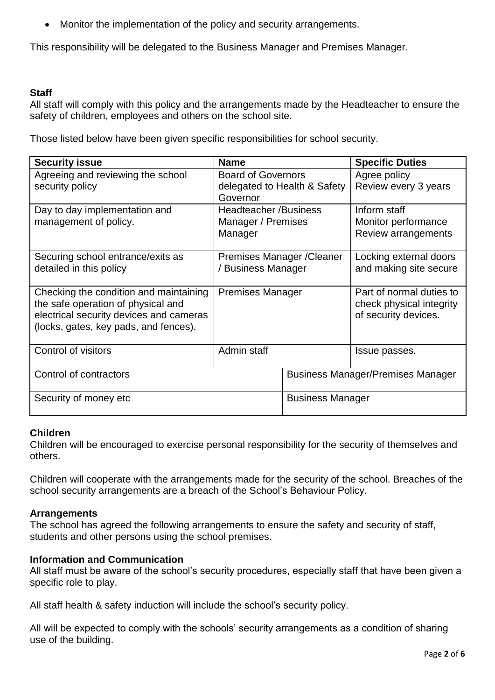Monitor the implementation of the policy and security arrangements.

This responsibility will be delegated to the Business Manager and Premises Manager.

## **Staff**

All staff will comply with this policy and the arrangements made by the Headteacher to ensure the safety of children, employees and others on the school site.

Those listed below have been given specific responsibilities for school security.

| <b>Security issue</b>                                                                                                                                            | <b>Name</b>                                                           |                                          | <b>Specific Duties</b>                                                       |
|------------------------------------------------------------------------------------------------------------------------------------------------------------------|-----------------------------------------------------------------------|------------------------------------------|------------------------------------------------------------------------------|
| Agreeing and reviewing the school<br>security policy                                                                                                             | <b>Board of Governors</b><br>delegated to Health & Safety<br>Governor |                                          | Agree policy<br>Review every 3 years                                         |
| Day to day implementation and<br>management of policy.                                                                                                           | <b>Headteacher /Business</b><br>Manager / Premises<br>Manager         |                                          | Inform staff<br>Monitor performance<br>Review arrangements                   |
| Securing school entrance/exits as<br>detailed in this policy                                                                                                     | Premises Manager / Cleaner<br>/ Business Manager                      |                                          | Locking external doors<br>and making site secure                             |
| Checking the condition and maintaining<br>the safe operation of physical and<br>electrical security devices and cameras<br>(locks, gates, key pads, and fences). | <b>Premises Manager</b>                                               |                                          | Part of normal duties to<br>check physical integrity<br>of security devices. |
| Control of visitors                                                                                                                                              | Admin staff                                                           |                                          | Issue passes.                                                                |
| Control of contractors                                                                                                                                           |                                                                       | <b>Business Manager/Premises Manager</b> |                                                                              |
| Security of money etc                                                                                                                                            |                                                                       | <b>Business Manager</b>                  |                                                                              |

## **Children**

Children will be encouraged to exercise personal responsibility for the security of themselves and others.

Children will cooperate with the arrangements made for the security of the school. Breaches of the school security arrangements are a breach of the School's Behaviour Policy.

## **Arrangements**

The school has agreed the following arrangements to ensure the safety and security of staff, students and other persons using the school premises.

## **Information and Communication**

All staff must be aware of the school's security procedures, especially staff that have been given a specific role to play.

All staff health & safety induction will include the school's security policy.

All will be expected to comply with the schools' security arrangements as a condition of sharing use of the building.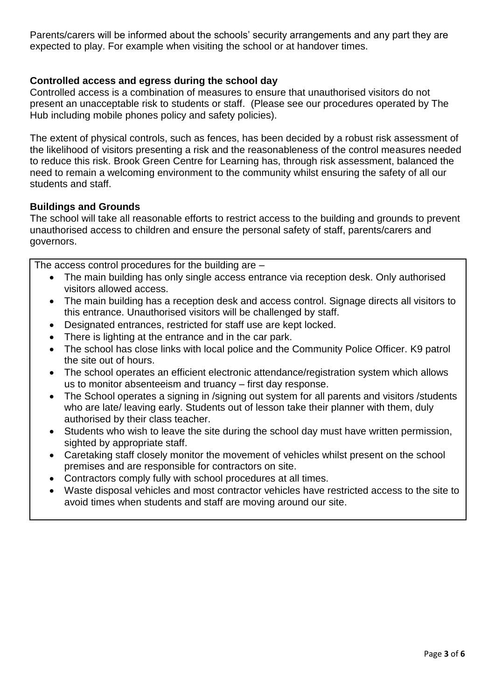Parents/carers will be informed about the schools' security arrangements and any part they are expected to play. For example when visiting the school or at handover times.

# **Controlled access and egress during the school day**

Controlled access is a combination of measures to ensure that unauthorised visitors do not present an unacceptable risk to students or staff. (Please see our procedures operated by The Hub including mobile phones policy and safety policies).

The extent of physical controls, such as fences, has been decided by a robust risk assessment of the likelihood of visitors presenting a risk and the reasonableness of the control measures needed to reduce this risk. Brook Green Centre for Learning has, through risk assessment, balanced the need to remain a welcoming environment to the community whilst ensuring the safety of all our students and staff.

## **Buildings and Grounds**

The school will take all reasonable efforts to restrict access to the building and grounds to prevent unauthorised access to children and ensure the personal safety of staff, parents/carers and governors.

The access control procedures for the building are  $-$ 

- The main building has only single access entrance via reception desk. Only authorised visitors allowed access.
- The main building has a reception desk and access control. Signage directs all visitors to this entrance. Unauthorised visitors will be challenged by staff.
- Designated entrances, restricted for staff use are kept locked.
- There is lighting at the entrance and in the car park.
- The school has close links with local police and the Community Police Officer. K9 patrol the site out of hours.
- The school operates an efficient electronic attendance/registration system which allows us to monitor absenteeism and truancy – first day response.
- The School operates a signing in /signing out system for all parents and visitors /students who are late/ leaving early. Students out of lesson take their planner with them, duly authorised by their class teacher.
- Students who wish to leave the site during the school day must have written permission, sighted by appropriate staff.
- Caretaking staff closely monitor the movement of vehicles whilst present on the school premises and are responsible for contractors on site.
- Contractors comply fully with school procedures at all times.
- Waste disposal vehicles and most contractor vehicles have restricted access to the site to avoid times when students and staff are moving around our site.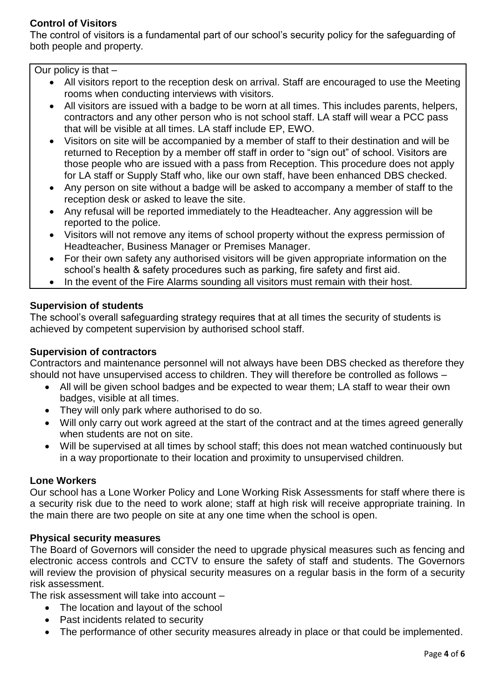# **Control of Visitors**

The control of visitors is a fundamental part of our school's security policy for the safeguarding of both people and property.

Our policy is that –

- All visitors report to the reception desk on arrival. Staff are encouraged to use the Meeting rooms when conducting interviews with visitors.
- All visitors are issued with a badge to be worn at all times. This includes parents, helpers, contractors and any other person who is not school staff. LA staff will wear a PCC pass that will be visible at all times. LA staff include EP, EWO.
- Visitors on site will be accompanied by a member of staff to their destination and will be returned to Reception by a member off staff in order to "sign out" of school. Visitors are those people who are issued with a pass from Reception. This procedure does not apply for LA staff or Supply Staff who, like our own staff, have been enhanced DBS checked.
- Any person on site without a badge will be asked to accompany a member of staff to the reception desk or asked to leave the site.
- Any refusal will be reported immediately to the Headteacher. Any aggression will be reported to the police.
- Visitors will not remove any items of school property without the express permission of Headteacher, Business Manager or Premises Manager.
- For their own safety any authorised visitors will be given appropriate information on the school's health & safety procedures such as parking, fire safety and first aid.
- In the event of the Fire Alarms sounding all visitors must remain with their host.

# **Supervision of students**

The school's overall safeguarding strategy requires that at all times the security of students is achieved by competent supervision by authorised school staff.

# **Supervision of contractors**

Contractors and maintenance personnel will not always have been DBS checked as therefore they should not have unsupervised access to children. They will therefore be controlled as follows –

- All will be given school badges and be expected to wear them; LA staff to wear their own badges, visible at all times.
- They will only park where authorised to do so.
- Will only carry out work agreed at the start of the contract and at the times agreed generally when students are not on site.
- Will be supervised at all times by school staff; this does not mean watched continuously but in a way proportionate to their location and proximity to unsupervised children.

# **Lone Workers**

Our school has a Lone Worker Policy and Lone Working Risk Assessments for staff where there is a security risk due to the need to work alone; staff at high risk will receive appropriate training. In the main there are two people on site at any one time when the school is open.

# **Physical security measures**

The Board of Governors will consider the need to upgrade physical measures such as fencing and electronic access controls and CCTV to ensure the safety of staff and students. The Governors will review the provision of physical security measures on a regular basis in the form of a security risk assessment.

The risk assessment will take into account –

- The location and layout of the school
- Past incidents related to security
- The performance of other security measures already in place or that could be implemented.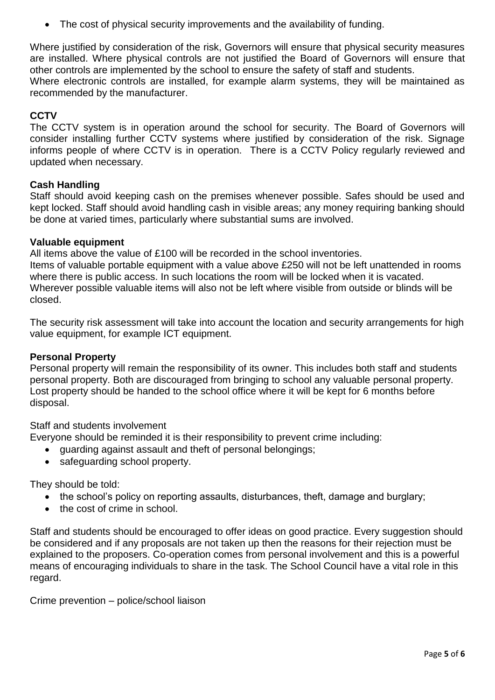The cost of physical security improvements and the availability of funding.

Where justified by consideration of the risk, Governors will ensure that physical security measures are installed. Where physical controls are not justified the Board of Governors will ensure that other controls are implemented by the school to ensure the safety of staff and students. Where electronic controls are installed, for example alarm systems, they will be maintained as recommended by the manufacturer.

# **CCTV**

The CCTV system is in operation around the school for security. The Board of Governors will consider installing further CCTV systems where justified by consideration of the risk. Signage informs people of where CCTV is in operation. There is a CCTV Policy regularly reviewed and updated when necessary.

### **Cash Handling**

Staff should avoid keeping cash on the premises whenever possible. Safes should be used and kept locked. Staff should avoid handling cash in visible areas; any money requiring banking should be done at varied times, particularly where substantial sums are involved.

### **Valuable equipment**

All items above the value of £100 will be recorded in the school inventories.

Items of valuable portable equipment with a value above £250 will not be left unattended in rooms where there is public access. In such locations the room will be locked when it is vacated. Wherever possible valuable items will also not be left where visible from outside or blinds will be closed.

The security risk assessment will take into account the location and security arrangements for high value equipment, for example ICT equipment.

### **Personal Property**

Personal property will remain the responsibility of its owner. This includes both staff and students personal property. Both are discouraged from bringing to school any valuable personal property. Lost property should be handed to the school office where it will be kept for 6 months before disposal.

Staff and students involvement

Everyone should be reminded it is their responsibility to prevent crime including:

- guarding against assault and theft of personal belongings;
- safeguarding school property.

They should be told:

- the school's policy on reporting assaults, disturbances, theft, damage and burglary;
- the cost of crime in school.

Staff and students should be encouraged to offer ideas on good practice. Every suggestion should be considered and if any proposals are not taken up then the reasons for their rejection must be explained to the proposers. Co-operation comes from personal involvement and this is a powerful means of encouraging individuals to share in the task. The School Council have a vital role in this regard.

Crime prevention – police/school liaison